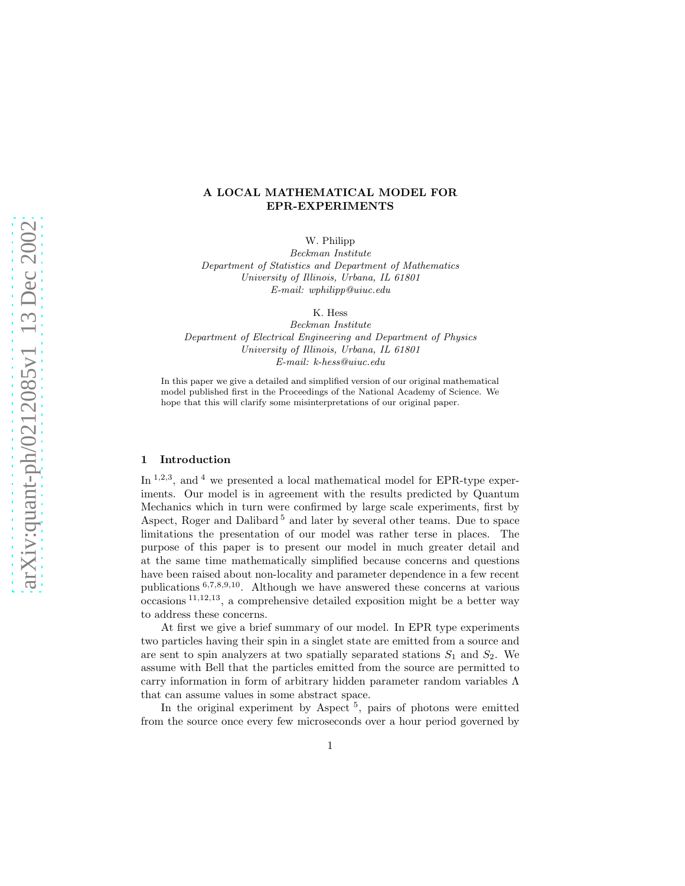# A LOCAL MATHEMATICAL MODEL FOR EPR-EXPERIMENTS

W. Philipp

*Beckman Institute Department of Statistics and Department of Mathematics University of Illinois, Urbana, IL 61801 E-mail: wphilipp@uiuc.edu*

K. Hess

*Beckman Institute Department of Electrical Engineering and Department of Physics University of Illinois, Urbana, IL 61801 E-mail: k-hess@uiuc.edu*

In this paper we give a detailed and simplified version of our original mathematical model published first in the Proceedings of the National Academy of Science. We hope that this will clarify some misinterpretations of our original paper.

#### 1 Introduction

In <sup>1,2,3</sup>, and <sup>4</sup> we presented a local mathematical model for EPR-type experiments. Our model is in agreement with the results predicted by Quantum Mechanics which in turn were confirmed by large scale experiments, first by Aspect, Roger and Dalibard<sup>5</sup> and later by several other teams. Due to space limitations the presentation of our model was rather terse in places. The purpose of this paper is to present our model in much greater detail and at the same time mathematically simplified because concerns and questions have been raised about non-locality and parameter dependence in a few recent publications  $6,7,8,9,10$ . Although we have answered these concerns at various  $\alpha$  occasions  $^{11,12,13}$ , a comprehensive detailed exposition might be a better way to address these concerns.

At first we give a brief summary of our model. In EPR type experiments two particles having their spin in a singlet state are emitted from a source and are sent to spin analyzers at two spatially separated stations  $S_1$  and  $S_2$ . We assume with Bell that the particles emitted from the source are permitted to carry information in form of arbitrary hidden parameter random variables Λ that can assume values in some abstract space.

In the original experiment by Aspect<sup>5</sup>, pairs of photons were emitted from the source once every few microseconds over a hour period governed by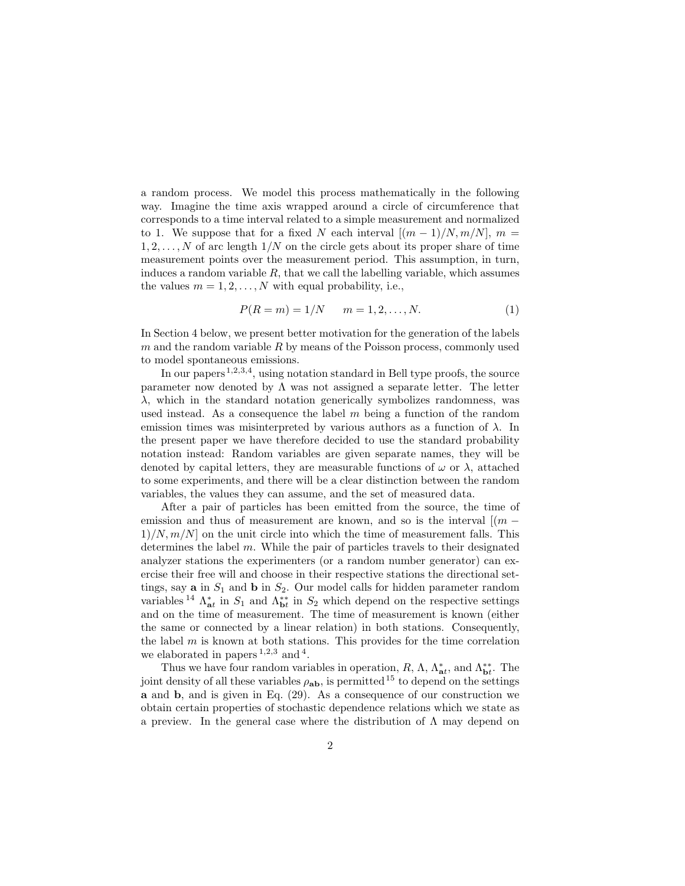a random process. We model this process mathematically in the following way. Imagine the time axis wrapped around a circle of circumference that corresponds to a time interval related to a simple measurement and normalized to 1. We suppose that for a fixed N each interval  $[(m-1)/N, m/N]$ ,  $m =$  $1, 2, \ldots, N$  of arc length  $1/N$  on the circle gets about its proper share of time measurement points over the measurement period. This assumption, in turn, induces a random variable  $R$ , that we call the labelling variable, which assumes the values  $m = 1, 2, \ldots, N$  with equal probability, i.e.,

$$
P(R = m) = 1/N \qquad m = 1, 2, ..., N.
$$
 (1)

In Section 4 below, we present better motivation for the generation of the labels  $m$  and the random variable  $R$  by means of the Poisson process, commonly used to model spontaneous emissions.

In our papers<sup>1,2,3,4</sup>, using notation standard in Bell type proofs, the source parameter now denoted by  $\Lambda$  was not assigned a separate letter. The letter  $\lambda$ , which in the standard notation generically symbolizes randomness, was used instead. As a consequence the label  $m$  being a function of the random emission times was misinterpreted by various authors as a function of  $\lambda$ . In the present paper we have therefore decided to use the standard probability notation instead: Random variables are given separate names, they will be denoted by capital letters, they are measurable functions of  $\omega$  or  $\lambda$ , attached to some experiments, and there will be a clear distinction between the random variables, the values they can assume, and the set of measured data.

After a pair of particles has been emitted from the source, the time of emission and thus of measurement are known, and so is the interval  $[(m 1/N, m/N$  on the unit circle into which the time of measurement falls. This determines the label  $m$ . While the pair of particles travels to their designated analyzer stations the experimenters (or a random number generator) can exercise their free will and choose in their respective stations the directional settings, say **a** in  $S_1$  and **b** in  $S_2$ . Our model calls for hidden parameter random variables <sup>14</sup>  $\Lambda_{at}^{*}$  in  $S_1$  and  $\Lambda_{bt}^{**}$  in  $S_2$  which depend on the respective settings and on the time of measurement. The time of measurement is known (either the same or connected by a linear relation) in both stations. Consequently, the label  $m$  is known at both stations. This provides for the time correlation we elaborated in papers  $1,2,3$  and  $4$ .

Thus we have four random variables in operation,  $R$ ,  $\Lambda$ ,  $\Lambda_{\mathbf{at}}^*$ , and  $\Lambda_{\mathbf{b}t}^{**}$ . The joint density of all these variables  $\rho_{ab}$ , is permitted<sup>15</sup> to depend on the settings a and b, and is given in Eq. (29). As a consequence of our construction we obtain certain properties of stochastic dependence relations which we state as a preview. In the general case where the distribution of  $\Lambda$  may depend on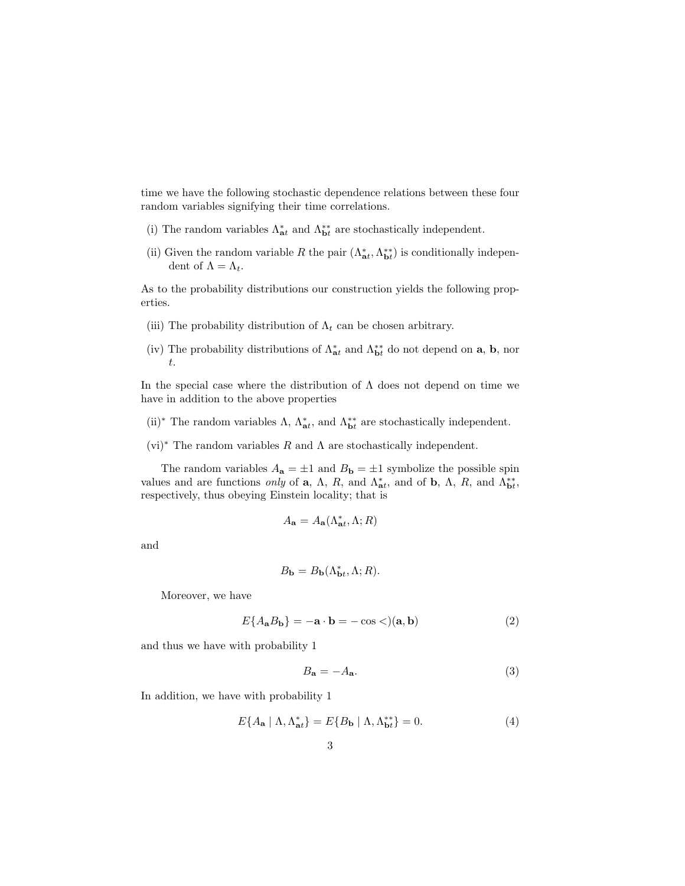time we have the following stochastic dependence relations between these four random variables signifying their time correlations.

- (i) The random variables  $\Lambda_{\pmb{a}t}^*$  and  $\Lambda_{\pmb{b}t}^{**}$  are stochastically independent.
- (ii) Given the random variable R the pair  $(\Lambda_{\bf at}^*, \Lambda_{\bf bt}^{**})$  is conditionally independent of  $\Lambda = \Lambda_t$ .

As to the probability distributions our construction yields the following properties.

- (iii) The probability distribution of  $\Lambda_t$  can be chosen arbitrary.
- (iv) The probability distributions of  $\Lambda_{\bf{a}t}^*$  and  $\Lambda_{\bf{b}t}^{**}$  do not depend on  ${\bf a}, {\bf b}$ , nor t.

In the special case where the distribution of  $\Lambda$  does not depend on time we have in addition to the above properties

- (ii)<sup>\*</sup> The random variables  $\Lambda$ ,  $\Lambda_{at}^*$ , and  $\Lambda_{bt}^{**}$  are stochastically independent.
- $(vi)^*$  The random variables R and  $\Lambda$  are stochastically independent.

The random variables  $A_{\mathbf{a}} = \pm 1$  and  $B_{\mathbf{b}} = \pm 1$  symbolize the possible spin values and are functions *only* of **a**,  $\Lambda$ ,  $R$ , and  $\Lambda_{at}^*$ , and of **b**,  $\Lambda$ ,  $R$ , and  $\Lambda_{bt}^{**}$ , respectively, thus obeying Einstein locality; that is

$$
A_{\mathbf{a}} = A_{\mathbf{a}}(\Lambda_{\mathbf{a}t}^*, \Lambda; R)
$$

and

$$
B_{\mathbf{b}} = B_{\mathbf{b}}(\Lambda_{\mathbf{b}t}^*, \Lambda; R).
$$

Moreover, we have

$$
E\{A_{\mathbf{a}}B_{\mathbf{b}}\} = -\mathbf{a} \cdot \mathbf{b} = -\cos \langle a, \mathbf{b} \rangle \tag{2}
$$

and thus we have with probability 1

$$
B_{\mathbf{a}} = -A_{\mathbf{a}}.\tag{3}
$$

In addition, we have with probability 1

$$
E\{A_{\mathbf{a}} \mid \Lambda, \Lambda_{\mathbf{a}t}^*\} = E\{B_{\mathbf{b}} \mid \Lambda, \Lambda_{\mathbf{b}t}^{**}\} = 0. \tag{4}
$$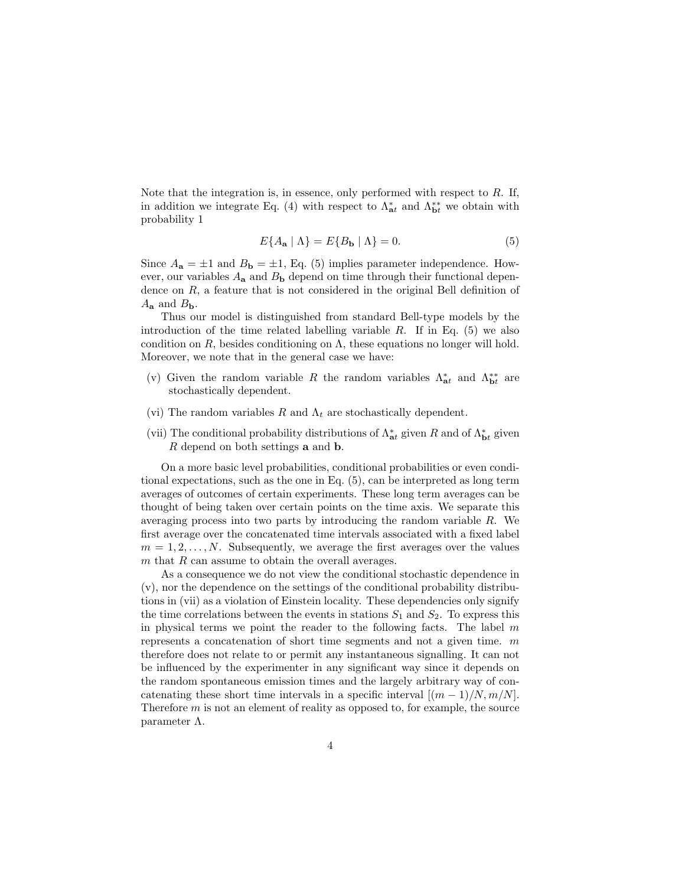Note that the integration is, in essence, only performed with respect to  $R$ . If, in addition we integrate Eq. (4) with respect to  $\Lambda_{at}^*$  and  $\Lambda_{bt}^{**}$  we obtain with probability 1

$$
E\{A_{\mathbf{a}} \mid \Lambda\} = E\{B_{\mathbf{b}} \mid \Lambda\} = 0. \tag{5}
$$

Since  $A_{\mathbf{a}} = \pm 1$  and  $B_{\mathbf{b}} = \pm 1$ , Eq. (5) implies parameter independence. However, our variables  $A_{\mathbf{a}}$  and  $B_{\mathbf{b}}$  depend on time through their functional dependence on  $R$ , a feature that is not considered in the original Bell definition of  $A_{\rm a}$  and  $B_{\rm b}$ .

Thus our model is distinguished from standard Bell-type models by the introduction of the time related labelling variable  $R$ . If in Eq. (5) we also condition on  $R$ , besides conditioning on  $\Lambda$ , these equations no longer will hold. Moreover, we note that in the general case we have:

- (v) Given the random variable R the random variables  $\Lambda_{at}^*$  and  $\Lambda_{bt}^{**}$  are stochastically dependent.
- (vi) The random variables R and  $\Lambda_t$  are stochastically dependent.
- (vii) The conditional probability distributions of  $\Lambda_{\bf{at}}^*$  given R and of  $\Lambda_{\bf{bt}}^*$  given R depend on both settings a and b.

On a more basic level probabilities, conditional probabilities or even conditional expectations, such as the one in Eq. (5), can be interpreted as long term averages of outcomes of certain experiments. These long term averages can be thought of being taken over certain points on the time axis. We separate this averaging process into two parts by introducing the random variable R. We first average over the concatenated time intervals associated with a fixed label  $m = 1, 2, \ldots, N$ . Subsequently, we average the first averages over the values  $m$  that  $R$  can assume to obtain the overall averages.

As a consequence we do not view the conditional stochastic dependence in (v), nor the dependence on the settings of the conditional probability distributions in (vii) as a violation of Einstein locality. These dependencies only signify the time correlations between the events in stations  $S_1$  and  $S_2$ . To express this in physical terms we point the reader to the following facts. The label  $m$ represents a concatenation of short time segments and not a given time.  $m$ therefore does not relate to or permit any instantaneous signalling. It can not be influenced by the experimenter in any significant way since it depends on the random spontaneous emission times and the largely arbitrary way of concatenating these short time intervals in a specific interval  $[(m-1)/N, m/N]$ . Therefore  $m$  is not an element of reality as opposed to, for example, the source parameter  $\Lambda$ .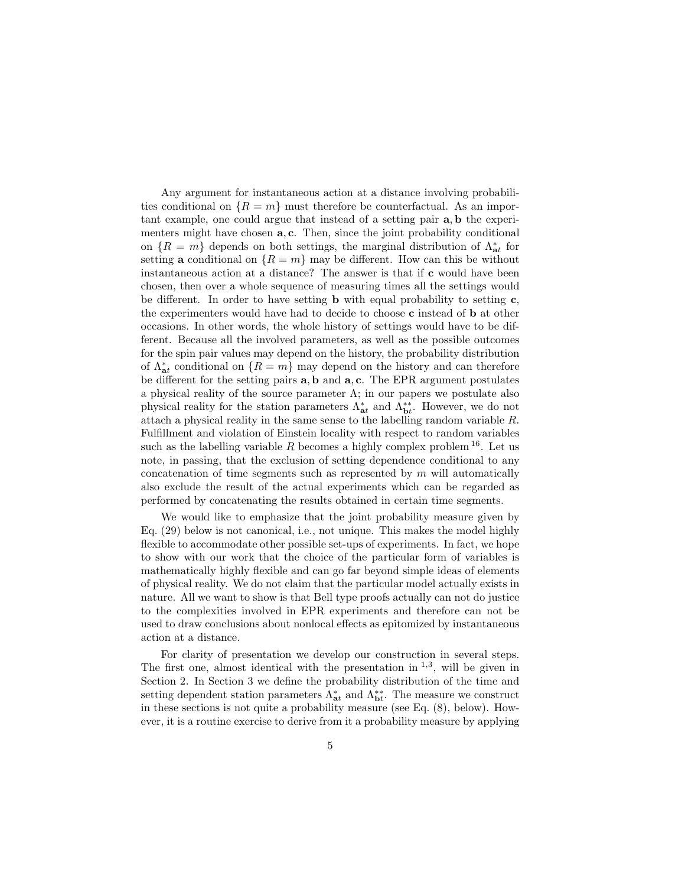Any argument for instantaneous action at a distance involving probabilities conditional on  $\{R = m\}$  must therefore be counterfactual. As an important example, one could argue that instead of a setting pair a, b the experimenters might have chosen  $a, c$ . Then, since the joint probability conditional on  $\{R = m\}$  depends on both settings, the marginal distribution of  $\Lambda_{at}^*$  for setting a conditional on  $\{R = m\}$  may be different. How can this be without instantaneous action at a distance? The answer is that if c would have been chosen, then over a whole sequence of measuring times all the settings would be different. In order to have setting **b** with equal probability to setting  $c$ , the experimenters would have had to decide to choose c instead of b at other occasions. In other words, the whole history of settings would have to be different. Because all the involved parameters, as well as the possible outcomes for the spin pair values may depend on the history, the probability distribution of  $\Lambda_{at}^*$  conditional on  $\{R = m\}$  may depend on the history and can therefore be different for the setting pairs  $\mathbf{a}, \mathbf{b}$  and  $\mathbf{a}, \mathbf{c}$ . The EPR argument postulates a physical reality of the source parameter  $\Lambda$ ; in our papers we postulate also physical reality for the station parameters  $\Lambda_{\textbf{a}t}^{*}$  and  $\Lambda_{\textbf{b}t}^{**}$ . However, we do not attach a physical reality in the same sense to the labelling random variable R. Fulfillment and violation of Einstein locality with respect to random variables such as the labelling variable R becomes a highly complex problem  $^{16}$ . Let us note, in passing, that the exclusion of setting dependence conditional to any concatenation of time segments such as represented by  $m$  will automatically also exclude the result of the actual experiments which can be regarded as performed by concatenating the results obtained in certain time segments.

We would like to emphasize that the joint probability measure given by Eq. (29) below is not canonical, i.e., not unique. This makes the model highly flexible to accommodate other possible set-ups of experiments. In fact, we hope to show with our work that the choice of the particular form of variables is mathematically highly flexible and can go far beyond simple ideas of elements of physical reality. We do not claim that the particular model actually exists in nature. All we want to show is that Bell type proofs actually can not do justice to the complexities involved in EPR experiments and therefore can not be used to draw conclusions about nonlocal effects as epitomized by instantaneous action at a distance.

For clarity of presentation we develop our construction in several steps. The first one, almost identical with the presentation in  $^{1,3}$ , will be given in Section 2. In Section 3 we define the probability distribution of the time and setting dependent station parameters  $\Lambda_{at}^*$  and  $\Lambda_{bt}^{**}$ . The measure we construct in these sections is not quite a probability measure (see Eq. (8), below). However, it is a routine exercise to derive from it a probability measure by applying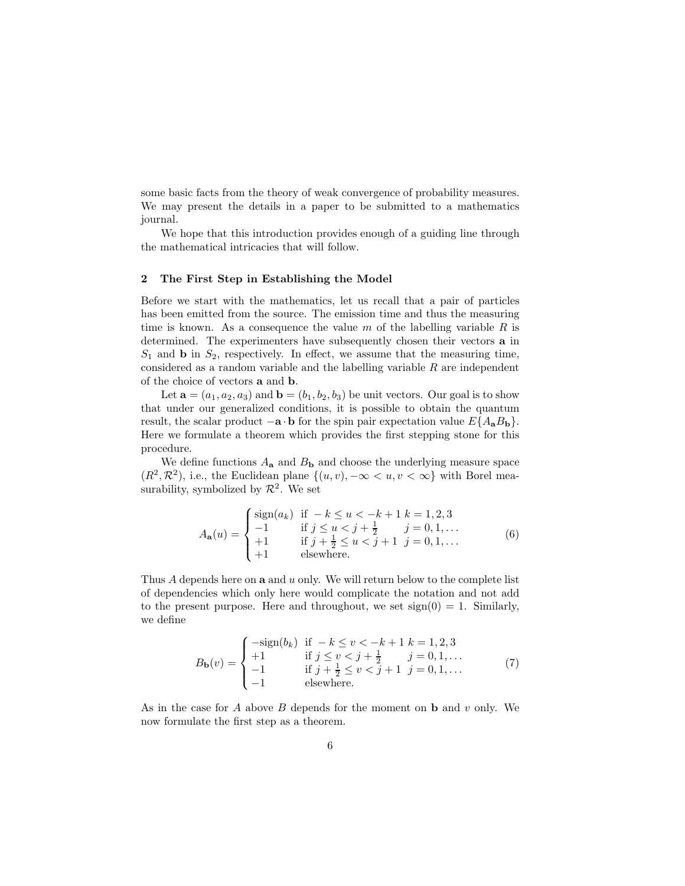some basic facts from the theory of weak convergence of probability measures. We may present the details in a paper to be submitted to a mathematics journal.

We hope that this introduction provides enough of a guiding line through the mathematical intricacies that will follow.

#### 2 The First Step in Establishing the Model

Before we start with the mathematics, let us recall that a pair of particles has been emitted from the source. The emission time and thus the measuring time is known. As a consequence the value m of the labelling variable  $R$  is determined. The experimenters have subsequently chosen their vectors a in  $S_1$  and **b** in  $S_2$ , respectively. In effect, we assume that the measuring time, considered as a random variable and the labelling variable  $R$  are independent of the choice of vectors a and b.

Let  $\mathbf{a} = (a_1, a_2, a_3)$  and  $\mathbf{b} = (b_1, b_2, b_3)$  be unit vectors. Our goal is to show that under our generalized conditions, it is possible to obtain the quantum result, the scalar product  $-\mathbf{a} \cdot \mathbf{b}$  for the spin pair expectation value  $E\{A_{\mathbf{a}}B_{\mathbf{b}}\}$ . Here we formulate a theorem which provides the first stepping stone for this procedure.

We define functions  $A_{a}$  and  $B_{b}$  and choose the underlying measure space  $(R^2, \mathcal{R}^2)$ , i.e., the Euclidean plane  $\{(u, v), -\infty < u, v < \infty\}$  with Borel measurability, symbolized by  $\mathcal{R}^2$ . We set

$$
A_{\mathbf{a}}(u) = \begin{cases} \text{sign}(a_k) & \text{if } -k \le u < -k+1 \ k=1,2,3\\ -1 & \text{if } j \le u < j+\frac{1}{2} \quad j=0,1,\dots\\ +1 & \text{if } j+\frac{1}{2} \le u < j+1 \quad j=0,1,\dots\\ +1 & \text{elsewhere.} \end{cases} \tag{6}
$$

Thus A depends here on **a** and u only. We will return below to the complete list of dependencies which only here would complicate the notation and not add to the present purpose. Here and throughout, we set  $sign(0) = 1$ . Similarly, we define

$$
B_{\mathbf{b}}(v) = \begin{cases}\n-\text{sign}(b_k) & \text{if } -k \le v < -k+1 \ k = 1, 2, 3 \\
+1 & \text{if } j \le v < j+\frac{1}{2} \ j = 0, 1, \dots \\
-1 & \text{if } j+\frac{1}{2} \le v < j+1 \ j = 0, 1, \dots \\
-1 & \text{elsewhere.}\n\end{cases} \tag{7}
$$

As in the case for  $A$  above  $B$  depends for the moment on  $b$  and  $v$  only. We now formulate the first step as a theorem.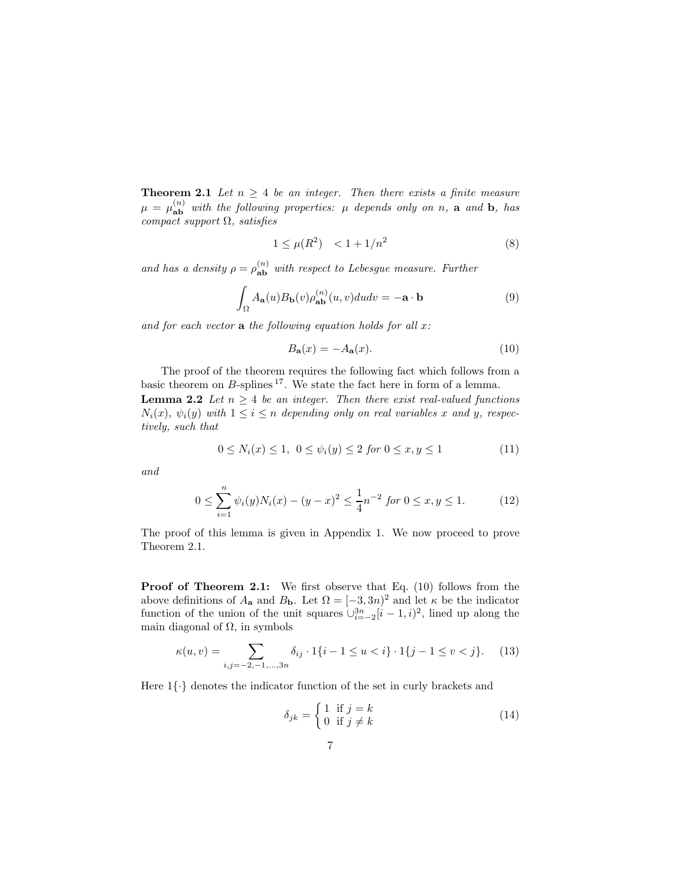**Theorem 2.1** Let  $n \geq 4$  be an integer. Then there exists a finite measure  $\mu = \mu_{ab}^{(n)}$  with the following properties:  $\mu$  depends only on n, a and b, has compact support  $\Omega$ , satisfies

$$
1 \le \mu(R^2) < 1 + 1/n^2 \tag{8}
$$

and has a density  $\rho = \rho_{ab}^{(n)}$  with respect to Lebesgue measure. Further

$$
\int_{\Omega} A_{\mathbf{a}}(u) B_{\mathbf{b}}(v) \rho_{\mathbf{a}\mathbf{b}}^{(n)}(u, v) du dv = -\mathbf{a} \cdot \mathbf{b}
$$
\n(9)

and for each vector  $a$  the following equation holds for all  $x$ :

$$
B_{\mathbf{a}}(x) = -A_{\mathbf{a}}(x). \tag{10}
$$

The proof of the theorem requires the following fact which follows from a basic theorem on  $B$ -splines  $^{17}$ . We state the fact here in form of a lemma. **Lemma 2.2** Let  $n \geq 4$  be an integer. Then there exist real-valued functions  $N_i(x)$ ,  $\psi_i(y)$  with  $1 \leq i \leq n$  depending only on real variables x and y, respectively, such that

$$
0 \le N_i(x) \le 1, \ 0 \le \psi_i(y) \le 2 \text{ for } 0 \le x, y \le 1 \tag{11}
$$

and

$$
0 \le \sum_{i=1}^{n} \psi_i(y) N_i(x) - (y - x)^2 \le \frac{1}{4} n^{-2} \text{ for } 0 \le x, y \le 1.
$$
 (12)

The proof of this lemma is given in Appendix 1. We now proceed to prove Theorem 2.1.

Proof of Theorem 2.1: We first observe that Eq. (10) follows from the above definitions of  $A_{\mathbf{a}}$  and  $B_{\mathbf{b}}$ . Let  $\Omega = [-3, 3n]^2$  and let  $\kappa$  be the indicator function of the union of the unit squares  $\cup_{i=-2}^{3n} [i-1, i]^2$ , lined up along the main diagonal of  $\Omega$ , in symbols

$$
\kappa(u,v) = \sum_{i,j=-2,-1,\dots,3n} \delta_{ij} \cdot 1\{i-1 \le u < i\} \cdot 1\{j-1 \le v < j\}.\tag{13}
$$

Here  $1\{\cdot\}$  denotes the indicator function of the set in curly brackets and

$$
\delta_{jk} = \begin{cases} 1 & \text{if } j = k \\ 0 & \text{if } j \neq k \end{cases}
$$
 (14)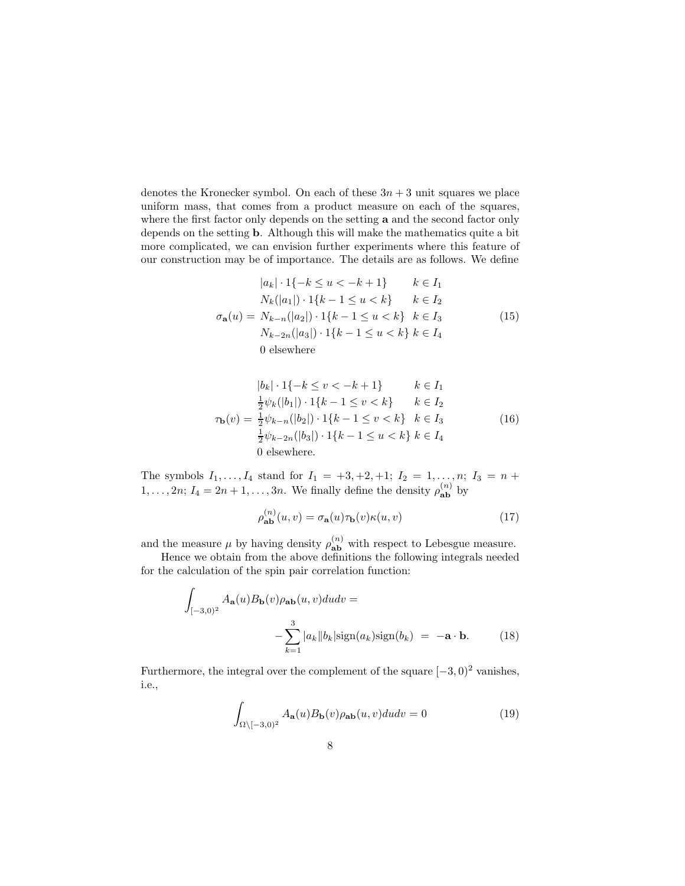denotes the Kronecker symbol. On each of these  $3n + 3$  unit squares we place uniform mass, that comes from a product measure on each of the squares, where the first factor only depends on the setting **a** and the second factor only depends on the setting b. Although this will make the mathematics quite a bit more complicated, we can envision further experiments where this feature of our construction may be of importance. The details are as follows. We define

$$
|a_k| \cdot 1\{-k \le u < -k + 1\} \qquad k \in I_1
$$
  
\n
$$
N_k(|a_1|) \cdot 1\{k - 1 \le u < k\} \qquad k \in I_2
$$
  
\n
$$
\sigma_{\mathbf{a}}(u) = N_{k-n}(|a_2|) \cdot 1\{k - 1 \le u < k\} \qquad k \in I_3
$$
  
\n
$$
N_{k-2n}(|a_3|) \cdot 1\{k - 1 \le u < k\} \qquad k \in I_4
$$
  
\n0 elsewhere

$$
|b_k| \cdot 1\{-k \le v < -k + 1\} \qquad k \in I_1
$$
  
\n
$$
\frac{1}{2}\psi_k(|b_1|) \cdot 1\{k - 1 \le v < k\} \qquad k \in I_2
$$
  
\n
$$
\tau_{\mathbf{b}}(v) = \frac{1}{2}\psi_{k-n}(|b_2|) \cdot 1\{k - 1 \le v < k\} \qquad k \in I_3
$$
  
\n
$$
\frac{1}{2}\psi_{k-2n}(|b_3|) \cdot 1\{k - 1 \le u < k\} \qquad k \in I_4
$$
  
\n0 elsewhere. (16)

The symbols  $I_1, \ldots, I_4$  stand for  $I_1 = +3, +2, +1; I_2 = 1, \ldots, n; I_3 = n +$  $1, \ldots, 2n; I_4 = 2n + 1, \ldots, 3n.$  We finally define the density  $\rho_{ab}^{(n)}$  by

$$
\rho_{\mathbf{ab}}^{(n)}(u,v) = \sigma_{\mathbf{a}}(u)\tau_{\mathbf{b}}(v)\kappa(u,v) \tag{17}
$$

and the measure  $\mu$  by having density  $\rho_{ab}^{(n)}$  with respect to Lebesgue measure.

Hence we obtain from the above definitions the following integrals needed for the calculation of the spin pair correlation function:

$$
\int_{[-3,0)^2} A_{\mathbf{a}}(u) B_{\mathbf{b}}(v) \rho_{\mathbf{a}\mathbf{b}}(u, v) du dv = -\sum_{k=1}^3 |a_k| |b_k| \text{sign}(a_k) \text{sign}(b_k) = -\mathbf{a} \cdot \mathbf{b}.
$$
 (18)

Furthermore, the integral over the complement of the square  $[-3, 0)^2$  vanishes, i.e.,

$$
\int_{\Omega \setminus [-3,0)^2} A_{\mathbf{a}}(u) B_{\mathbf{b}}(v) \rho_{\mathbf{a}\mathbf{b}}(u,v) du dv = 0
$$
\n(19)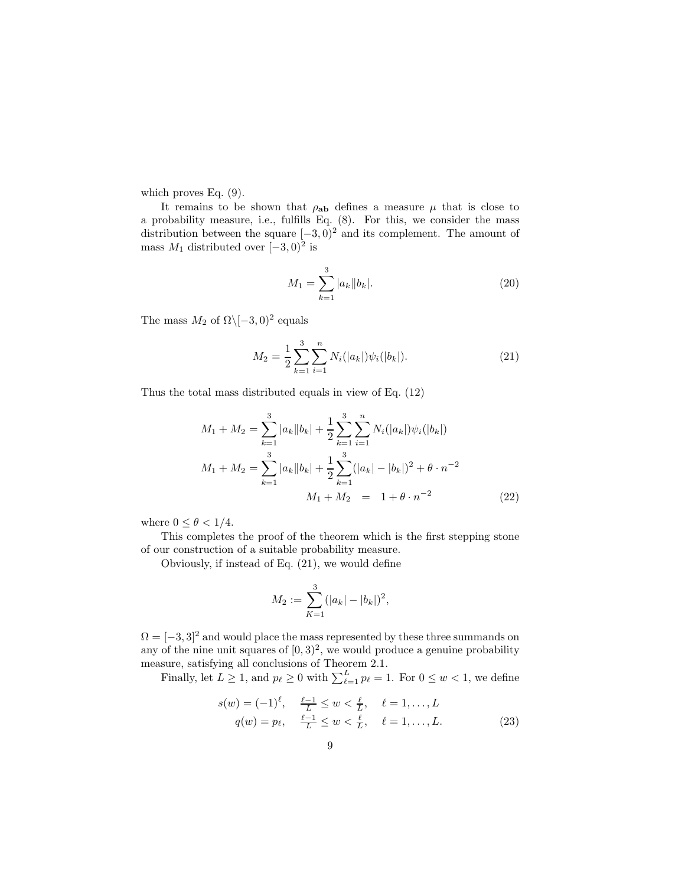which proves Eq. (9).

It remains to be shown that  $\rho_{ab}$  defines a measure  $\mu$  that is close to a probability measure, i.e., fulfills Eq. (8). For this, we consider the mass distribution between the square  $[-3, 0)^2$  and its complement. The amount of mass  $M_1$  distributed over  $[-3, 0)^2$  is

$$
M_1 = \sum_{k=1}^{3} |a_k||b_k|.
$$
 (20)

The mass  $M_2$  of  $\Omega \setminus [-3,0)^2$  equals

$$
M_2 = \frac{1}{2} \sum_{k=1}^{3} \sum_{i=1}^{n} N_i(|a_k|) \psi_i(|b_k|). \tag{21}
$$

Thus the total mass distributed equals in view of Eq. (12)

$$
M_1 + M_2 = \sum_{k=1}^3 |a_k||b_k| + \frac{1}{2} \sum_{k=1}^3 \sum_{i=1}^n N_i(|a_k|) \psi_i(|b_k|)
$$
  

$$
M_1 + M_2 = \sum_{k=1}^3 |a_k||b_k| + \frac{1}{2} \sum_{k=1}^3 (|a_k| - |b_k|)^2 + \theta \cdot n^{-2}
$$
  

$$
M_1 + M_2 = 1 + \theta \cdot n^{-2}
$$
 (22)

where  $0 \leq \theta < 1/4$ .

This completes the proof of the theorem which is the first stepping stone of our construction of a suitable probability measure.

Obviously, if instead of Eq. (21), we would define

$$
M_2 := \sum_{K=1}^3 (|a_k| - |b_k|)^2,
$$

 $\Omega = \{-3, 3\}^2$  and would place the mass represented by these three summands on any of the nine unit squares of  $[0,3)^2$ , we would produce a genuine probability measure, satisfying all conclusions of Theorem 2.1.

Finally, let  $L \geq 1$ , and  $p_{\ell} \geq 0$  with  $\sum_{\ell=1}^{L} p_{\ell} = 1$ . For  $0 \leq w < 1$ , we define

$$
s(w) = (-1)^{\ell}, \quad \frac{\ell - 1}{L} \le w < \frac{\ell}{L}, \quad \ell = 1, ..., L
$$
  

$$
q(w) = p_{\ell}, \quad \frac{\ell - 1}{L} \le w < \frac{\ell}{L}, \quad \ell = 1, ..., L.
$$
 (23)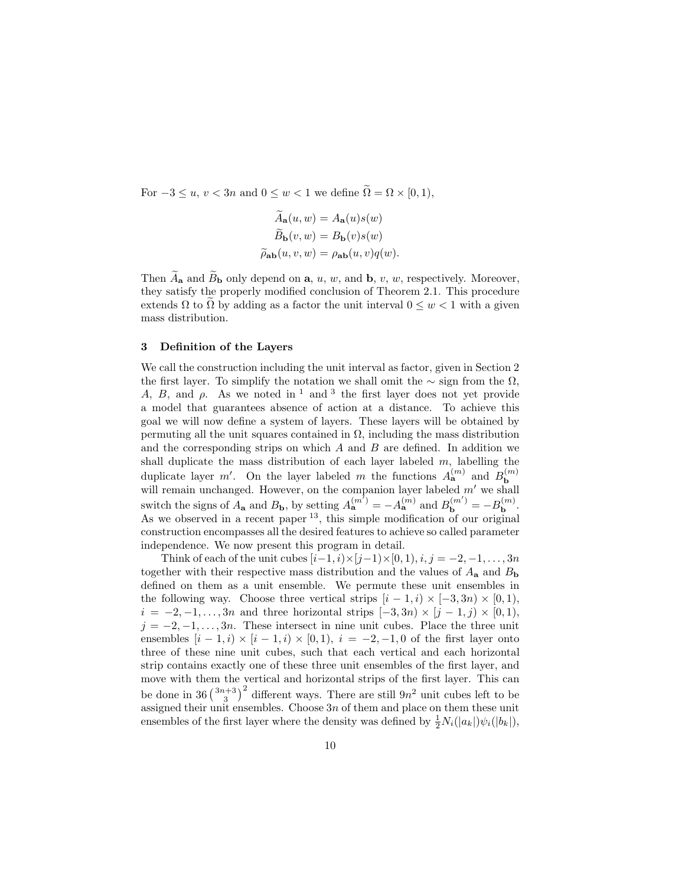For  $-3 \le u, v < 3n$  and  $0 \le w < 1$  we define  $\widetilde{\Omega} = \Omega \times [0, 1),$ 

$$
\tilde{A}_{\mathbf{a}}(u, w) = A_{\mathbf{a}}(u)s(w)
$$

$$
\tilde{B}_{\mathbf{b}}(v, w) = B_{\mathbf{b}}(v)s(w)
$$

$$
\tilde{\rho}_{\mathbf{a}\mathbf{b}}(u, v, w) = \rho_{\mathbf{a}\mathbf{b}}(u, v)q(w).
$$

Then  $\widetilde{A}_{\mathbf{a}}$  and  $\widetilde{B}_{\mathbf{b}}$  only depend on  $\mathbf{a}, u, w$ , and  $\mathbf{b}, v, w$ , respectively. Moreover, they satisfy the properly modified conclusion of Theorem 2.1. This procedure extends  $\Omega$  to  $\Omega$  by adding as a factor the unit interval  $0 \leq w < 1$  with a given mass distribution.

### 3 Definition of the Layers

We call the construction including the unit interval as factor, given in Section 2 the first layer. To simplify the notation we shall omit the  $\sim$  sign from the  $\Omega$ , A, B, and  $\rho$ . As we noted in <sup>1</sup> and <sup>3</sup> the first layer does not yet provide a model that guarantees absence of action at a distance. To achieve this goal we will now define a system of layers. These layers will be obtained by permuting all the unit squares contained in  $\Omega$ , including the mass distribution and the corresponding strips on which  $A$  and  $B$  are defined. In addition we shall duplicate the mass distribution of each layer labeled  $m$ , labelling the duplicate layer  $m'$ . On the layer labeled m the functions  $A_{\mathbf{a}}^{(m)}$  and  $B_{\mathbf{b}}^{(m)}$  will remain unchanged. However, on the companion layer labeled m' we shall switch the signs of  $A_{\mathbf{a}}$  and  $B_{\mathbf{b}}$ , by setting  $A_{\mathbf{a}}^{(m')} = -A_{\mathbf{a}}^{(m)}$  and  $B_{\mathbf{b}}^{(m')} = -B_{\mathbf{b}}^{(m)}$ . As we observed in a recent paper  $^{13}$ , this simple modification of our original construction encompasses all the desired features to achieve so called parameter independence. We now present this program in detail.

Think of each of the unit cubes  $[i-1, i) \times (j-1) \times (0, 1), i, j = -2, -1, \ldots, 3n$ together with their respective mass distribution and the values of  $A_{a}$  and  $B_{b}$ defined on them as a unit ensemble. We permute these unit ensembles in the following way. Choose three vertical strips  $[i - 1, i) \times [-3, 3n) \times [0, 1)$ ,  $i = -2, -1, \ldots, 3n$  and three horizontal strips  $[-3, 3n) \times [j-1, j) \times [0, 1)$ ,  $j = -2, -1, \ldots, 3n$ . These intersect in nine unit cubes. Place the three unit ensembles  $[i - 1, i] \times [i - 1, i] \times [0, 1], i = -2, -1, 0$  of the first layer onto three of these nine unit cubes, such that each vertical and each horizontal strip contains exactly one of these three unit ensembles of the first layer, and move with them the vertical and horizontal strips of the first layer. This can be done in 36 $\binom{3n+3}{3}^2$  different ways. There are still  $9n^2$  unit cubes left to be assigned their unit ensembles. Choose  $3n$  of them and place on them these unit ensembles of the first layer where the density was defined by  $\frac{1}{2}N_i(|a_k|)\psi_i(|b_k|)$ ,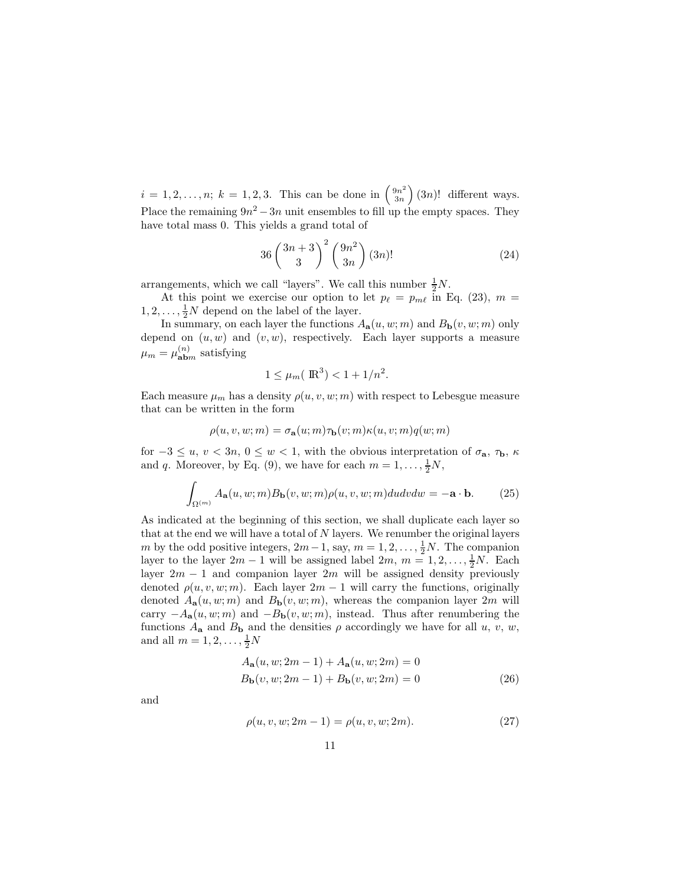$i = 1, 2, ..., n; k = 1, 2, 3.$  This can be done in  $\binom{9n^2}{3n}$  $3n$  $(3n)!$  different ways. Place the remaining  $9n^2 - 3n$  unit ensembles to fill up the empty spaces. They have total mass 0. This yields a grand total of

$$
36\left(\frac{3n+3}{3}\right)^2\left(\frac{9n^2}{3n}\right)(3n)!
$$
\n(24)

arrangements, which we call "layers". We call this number  $\frac{1}{2}N$ .

At this point we exercise our option to let  $p_{\ell} = p_{m\ell}$  in Eq. (23),  $m =$  $1, 2, \ldots, \frac{1}{2}N$  depend on the label of the layer.

In summary, on each layer the functions  $A_{\mathbf{a}}(u, w; m)$  and  $B_{\mathbf{b}}(v, w; m)$  only depend on  $(u, w)$  and  $(v, w)$ , respectively. Each layer supports a measure  $\mu_m = \mu_{\bf abm}^{(n)}$  satisfying

$$
1 \le \mu_m(\mathbb{R}^3) < 1 + \frac{1}{n^2}.
$$

Each measure  $\mu_m$  has a density  $\rho(u, v, w; m)$  with respect to Lebesgue measure that can be written in the form

$$
\rho(u, v, w; m) = \sigma_{\mathbf{a}}(u; m)\tau_{\mathbf{b}}(v; m)\kappa(u, v; m)q(w; m)
$$

for  $-3 \le u, v < 3n, 0 \le w < 1$ , with the obvious interpretation of  $\sigma_{a}$ ,  $\tau_{b}$ ,  $\kappa$ and q. Moreover, by Eq. (9), we have for each  $m = 1, \ldots, \frac{1}{2}N$ ,

$$
\int_{\Omega^{(m)}} A_{\mathbf{a}}(u, w; m) B_{\mathbf{b}}(v, w; m) \rho(u, v, w; m) du dv dw = -\mathbf{a} \cdot \mathbf{b}.
$$
 (25)

As indicated at the beginning of this section, we shall duplicate each layer so that at the end we will have a total of  $N$  layers. We renumber the original layers m by the odd positive integers,  $2m-1$ , say,  $m=1,2,\ldots,\frac{1}{2}N$ . The companion layer to the layer  $2m - 1$  will be assigned label  $2m$ ,  $m = 1, 2, ..., \frac{1}{2}N$ . Each layer  $2m - 1$  and companion layer  $2m$  will be assigned density previously denoted  $\rho(u, v, w; m)$ . Each layer  $2m - 1$  will carry the functions, originally denoted  $A_{a}(u, w; m)$  and  $B_{b}(v, w; m)$ , whereas the companion layer 2m will carry  $-A_{\mathbf{a}}(u, w; m)$  and  $-B_{\mathbf{b}}(v, w; m)$ , instead. Thus after renumbering the functions  $A_{\mathbf{a}}$  and  $B_{\mathbf{b}}$  and the densities  $\rho$  accordingly we have for all u, v, w, and all  $m = 1, 2, ..., \frac{1}{2}N$ 

$$
A_{\mathbf{a}}(u, w; 2m - 1) + A_{\mathbf{a}}(u, w; 2m) = 0
$$
  
\n
$$
B_{\mathbf{b}}(v, w; 2m - 1) + B_{\mathbf{b}}(v, w; 2m) = 0
$$
\n(26)

and

$$
\rho(u, v, w; 2m - 1) = \rho(u, v, w; 2m). \tag{27}
$$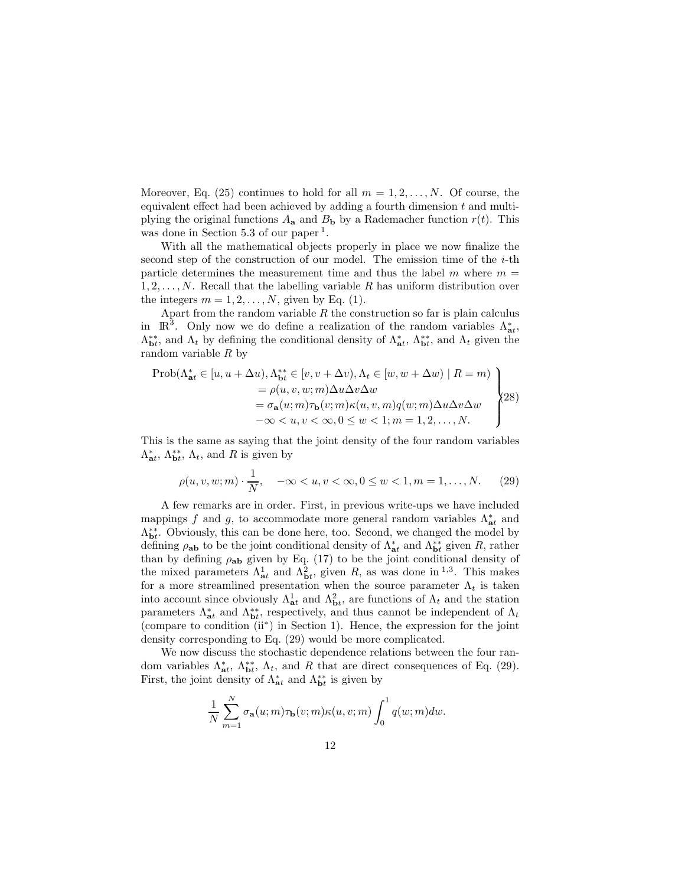Moreover, Eq. (25) continues to hold for all  $m = 1, 2, ..., N$ . Of course, the equivalent effect had been achieved by adding a fourth dimension  $t$  and multiplying the original functions  $A_{\mathbf{a}}$  and  $B_{\mathbf{b}}$  by a Rademacher function  $r(t)$ . This was done in Section 5.3 of our paper<sup>1</sup>.

With all the mathematical objects properly in place we now finalize the second step of the construction of our model. The emission time of the  $i$ -th particle determines the measurement time and thus the label  $m$  where  $m =$  $1, 2, \ldots, N$ . Recall that the labelling variable R has uniform distribution over the integers  $m = 1, 2, \ldots, N$ , given by Eq. (1).

Apart from the random variable  $R$  the construction so far is plain calculus in  $\mathbb{R}^3$ . Only now we do define a realization of the random variables  $\Lambda_{\mathbf{a}t}^*$ ,  $\Lambda_{\bf b}^{**}$ , and  $\Lambda_t$  by defining the conditional density of  $\Lambda_{\bf a}^*$ ,  $\Lambda_{\bf b}^{**}$ , and  $\Lambda_t$  given the random variable R by

$$
\begin{aligned}\n\text{Prob}(\Lambda_{\text{at}}^* \in [u, u + \Delta u), \Lambda_{\text{bt}}^{**} \in [v, v + \Delta v), \Lambda_t \in [w, w + \Delta w) \mid R = m) \\
&= \rho(u, v, w; m) \Delta u \Delta v \Delta w \\
&= \sigma_{\text{a}}(u; m) \tau_{\text{b}}(v; m) \kappa(u, v, m) q(w; m) \Delta u \Delta v \Delta w \\
&\quad -\infty < u, v < \infty, 0 \le w < 1; m = 1, 2, \dots, N.\n\end{aligned}
$$
\n
$$
\begin{aligned}\n\text{Prob}(\Lambda_{\text{at}}^* \in [u, u + \Delta u), \Lambda_{\text{bt}}^* \in [v, v + \Delta v), \Lambda_t \in [w, w + \Delta w) \mid R = m) \\
&= \rho(u, v, w; m) \Delta u \Delta v \Delta w \\
&= \sigma_{\text{a}}(u; m) \tau_{\text{b}}(v; m) \kappa(u, v, m) q(w; m) \Delta u \Delta v \Delta w\n\end{aligned}
$$

This is the same as saying that the joint density of the four random variables  $\Lambda_{\mathbf{a}t}^*$ ,  $\Lambda_{\mathbf{b}t}^*$ ,  $\Lambda_t$ , and R is given by

$$
\rho(u, v, w; m) \cdot \frac{1}{N}, \quad -\infty < u, v < \infty, 0 \le w < 1, m = 1, \dots, N. \tag{29}
$$

A few remarks are in order. First, in previous write-ups we have included mappings f and g, to accommodate more general random variables  $\Lambda_{at}^*$  and  $\Lambda_{\mathbf{b}t}^{**}$ . Obviously, this can be done here, too. Second, we changed the model by defining  $\rho_{ab}$  to be the joint conditional density of  $\Lambda_{ab}^*$  and  $\Lambda_{b}^{**}$  given R, rather than by defining  $\rho_{ab}$  given by Eq. (17) to be the joint conditional density of the mixed parameters  $\Lambda_{at}^1$  and  $\Lambda_{bt}^2$ , given R, as was done in <sup>1,3</sup>. This makes for a more streamlined presentation when the source parameter  $\Lambda_t$  is taken into account since obviously  $\Lambda_{\bf{a}t}^1$  and  $\Lambda_{\bf{b}t}^2$ , are functions of  $\Lambda_t$  and the station parameters  $\Lambda_{\mathbf{a}t}^*$  and  $\Lambda_{\mathbf{b}t}^{**}$ , respectively, and thus cannot be independent of  $\Lambda_t$ (compare to condition (ii<sup>∗</sup> ) in Section 1). Hence, the expression for the joint density corresponding to Eq. (29) would be more complicated.

We now discuss the stochastic dependence relations between the four random variables  $\Lambda_{\bf{at}}^*$ ,  $\Lambda_{\bf{bt}}^*$ ,  $\Lambda_t$ , and R that are direct consequences of Eq. (29). First, the joint density of  $\Lambda_{\mathbf{a}t}^{*}$  and  $\Lambda_{\mathbf{b}t}^{**}$  is given by

$$
\frac{1}{N}\sum_{m=1}^N \sigma_{\mathbf{a}}(u;m)\tau_{\mathbf{b}}(v;m)\kappa(u,v;m)\int_0^1 q(w;m)dw.
$$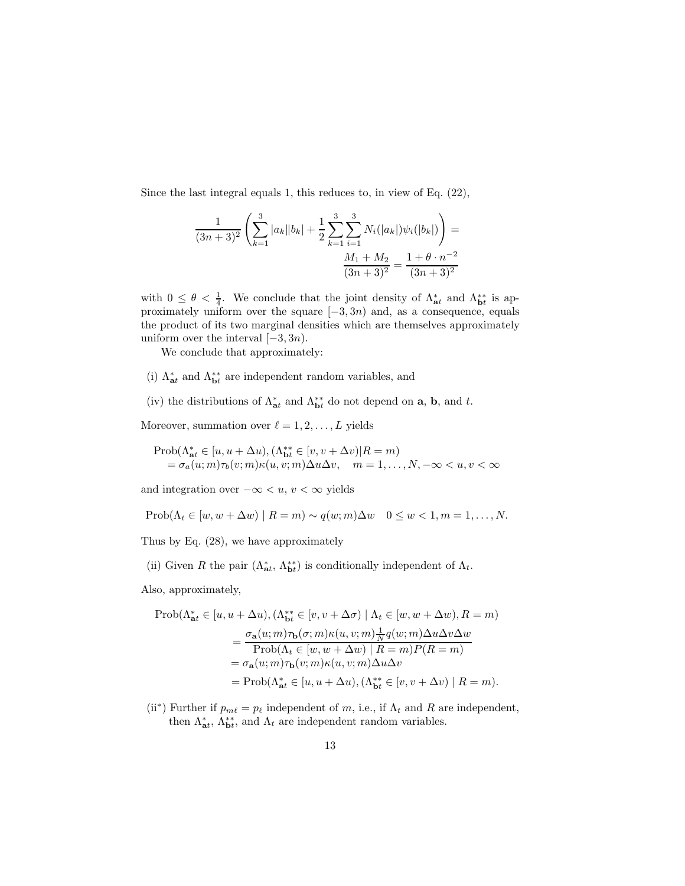Since the last integral equals 1, this reduces to, in view of Eq. (22),

$$
\frac{1}{(3n+3)^2} \left( \sum_{k=1}^3 |a_k||b_k| + \frac{1}{2} \sum_{k=1}^3 \sum_{i=1}^3 N_i(|a_k|) \psi_i(|b_k|) \right) =
$$

$$
\frac{M_1 + M_2}{(3n+3)^2} = \frac{1 + \theta \cdot n^{-2}}{(3n+3)^2}
$$

with  $0 \leq \theta < \frac{1}{4}$ . We conclude that the joint density of  $\Lambda_{\mathbf{a}t}^{*}$  and  $\Lambda_{\mathbf{b}t}^{**}$  is approximately uniform over the square  $[-3, 3n)$  and, as a consequence, equals the product of its two marginal densities which are themselves approximately uniform over the interval  $[-3, 3n)$ .

We conclude that approximately:

- (i)  $\Lambda_{\textbf{a}t}^{*}$  and  $\Lambda_{\textbf{b}t}^{**}$  are independent random variables, and
- (iv) the distributions of  $\Lambda_{\bf{a}t}^*$  and  $\Lambda_{\bf{b}t}^{**}$  do not depend on **a**, **b**, and *t*.
- Moreover, summation over  $\ell = 1, 2, ..., L$  yields

$$
\begin{array}{l}\n\text{Prob}(\Lambda_{\mathtt{at}}^* \in [u, u + \Delta u), (\Lambda_{\mathtt{bt}}^{**} \in [v, v + \Delta v) | R = m) \\
= \sigma_a(u; m) \tau_b(v; m) \kappa(u, v; m) \Delta u \Delta v, \quad m = 1, \dots, N, -\infty < u, v < \infty\n\end{array}
$$

and integration over  $-\infty < u, v < \infty$  yields

$$
\text{Prob}(\Lambda_t \in [w, w + \Delta w) \mid R = m) \sim q(w; m) \Delta w \quad 0 \le w < 1, m = 1, \dots, N.
$$

Thus by Eq. (28), we have approximately

(ii) Given R the pair  $(\Lambda_{\bf at}^*, \Lambda_{\bf bt}^{**})$  is conditionally independent of  $\Lambda_t$ .

Also, approximately,

$$
\begin{aligned} \operatorname{Prob}(\Lambda_{\textbf{at}}^* \in [u, u + \Delta u), (\Lambda_{\textbf{bt}}^{**} \in [v, v + \Delta \sigma) \mid \Lambda_t \in [w, w + \Delta w), R = m) \\ & = \frac{\sigma_{\textbf{a}}(u; m) \tau_{\textbf{b}}(\sigma; m) \kappa(u, v; m) \frac{1}{N} q(w; m) \Delta u \Delta v \Delta w}{\operatorname{Prob}(\Lambda_t \in [w, w + \Delta w) \mid R = m) P(R = m)} \\ & = \sigma_{\textbf{a}}(u; m) \tau_{\textbf{b}}(v; m) \kappa(u, v; m) \Delta u \Delta v \\ & = \operatorname{Prob}(\Lambda_{\textbf{at}}^* \in [u, u + \Delta u), (\Lambda_{\textbf{bt}}^{**} \in [v, v + \Delta v) \mid R = m). \end{aligned}
$$

(ii<sup>\*</sup>) Further if  $p_{m\ell} = p_{\ell}$  independent of m, i.e., if  $\Lambda_t$  and R are independent, then  $\Lambda_{\mathbf{a}t}^*$ ,  $\Lambda_{\mathbf{b}t}^{**}$ , and  $\Lambda_t$  are independent random variables.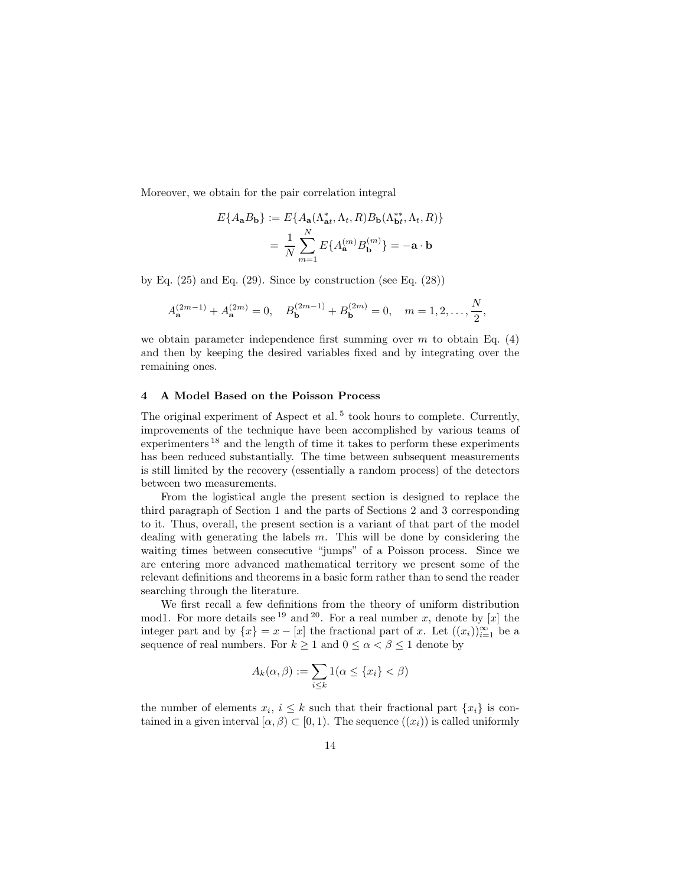Moreover, we obtain for the pair correlation integral

$$
E\{A_{\mathbf{a}}B_{\mathbf{b}}\} := E\{A_{\mathbf{a}}(\Lambda_{\mathbf{a}t}^*, \Lambda_t, R)B_{\mathbf{b}}(\Lambda_{\mathbf{b}t}^{**}, \Lambda_t, R)\}
$$

$$
= \frac{1}{N} \sum_{m=1}^N E\{A_{\mathbf{a}}^{(m)}B_{\mathbf{b}}^{(m)}\} = -\mathbf{a} \cdot \mathbf{b}
$$

by Eq.  $(25)$  and Eq.  $(29)$ . Since by construction (see Eq.  $(28)$ )

$$
A_{\mathbf{a}}^{(2m-1)} + A_{\mathbf{a}}^{(2m)} = 0, \quad B_{\mathbf{b}}^{(2m-1)} + B_{\mathbf{b}}^{(2m)} = 0, \quad m = 1, 2, \dots, \frac{N}{2},
$$

we obtain parameter independence first summing over m to obtain Eq.  $(4)$ and then by keeping the desired variables fixed and by integrating over the remaining ones.

#### 4 A Model Based on the Poisson Process

The original experiment of Aspect et al.<sup>5</sup> took hours to complete. Currently, improvements of the technique have been accomplished by various teams of experimenters<sup>18</sup> and the length of time it takes to perform these experiments has been reduced substantially. The time between subsequent measurements is still limited by the recovery (essentially a random process) of the detectors between two measurements.

From the logistical angle the present section is designed to replace the third paragraph of Section 1 and the parts of Sections 2 and 3 corresponding to it. Thus, overall, the present section is a variant of that part of the model dealing with generating the labels  $m$ . This will be done by considering the waiting times between consecutive "jumps" of a Poisson process. Since we are entering more advanced mathematical territory we present some of the relevant definitions and theorems in a basic form rather than to send the reader searching through the literature.

We first recall a few definitions from the theory of uniform distribution mod1. For more details see <sup>19</sup> and <sup>20</sup>. For a real number x, denote by [x] the integer part and by  $\{x\} = x - [x]$  the fractional part of x. Let  $((x_i))_{i=1}^{\infty}$  be a sequence of real numbers. For  $k \geq 1$  and  $0 \leq \alpha < \beta \leq 1$  denote by

$$
A_k(\alpha, \beta) := \sum_{i \le k} 1(\alpha \le \{x_i\} < \beta)
$$

the number of elements  $x_i, i \leq k$  such that their fractional part  $\{x_i\}$  is contained in a given interval  $[\alpha, \beta) \subset [0, 1)$ . The sequence  $((x_i))$  is called uniformly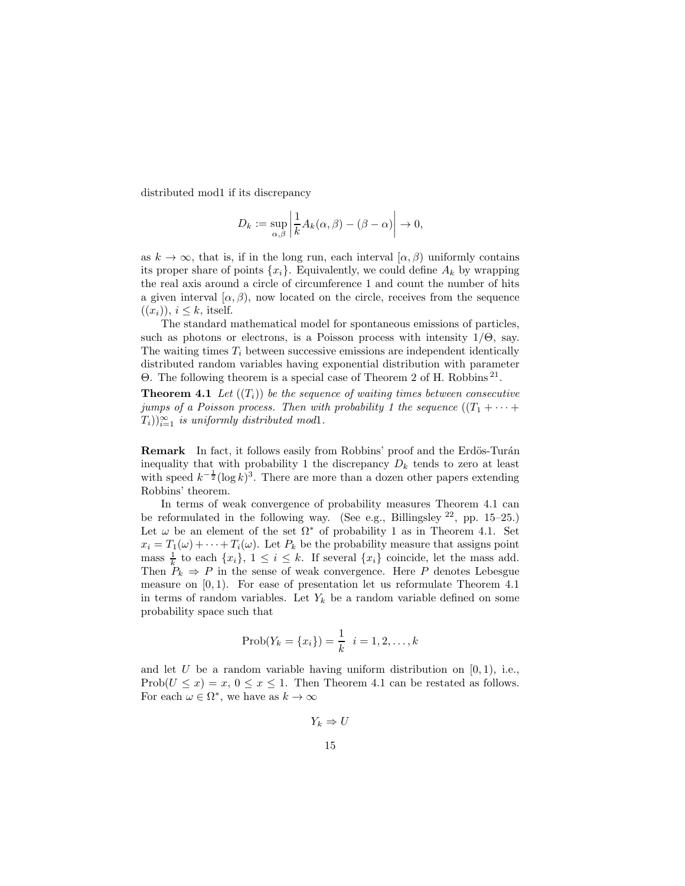distributed mod1 if its discrepancy

$$
D_k := \sup_{\alpha,\beta} \left| \frac{1}{k} A_k(\alpha,\beta) - (\beta - \alpha) \right| \to 0,
$$

as  $k \to \infty$ , that is, if in the long run, each interval  $[\alpha, \beta)$  uniformly contains its proper share of points  $\{x_i\}$ . Equivalently, we could define  $A_k$  by wrapping the real axis around a circle of circumference 1 and count the number of hits a given interval  $(\alpha, \beta)$ , now located on the circle, receives from the sequence  $((x_i))$ ,  $i \leq k$ , itself.

The standard mathematical model for spontaneous emissions of particles, such as photons or electrons, is a Poisson process with intensity  $1/\Theta$ , say. The waiting times  $T_i$  between successive emissions are independent identically distributed random variables having exponential distribution with parameter Θ. The following theorem is a special case of Theorem 2 of H. Robbins <sup>21</sup> .

**Theorem 4.1** Let  $((T_i))$  be the sequence of waiting times between consecutive jumps of a Poisson process. Then with probability 1 the sequence  $((T_1 + \cdots +$  $(T_i)_{i=1}^{\infty}$  is uniformly distributed mod1.

Remark In fact, it follows easily from Robbins' proof and the Erdös-Turán inequality that with probability 1 the discrepancy  $D_k$  tends to zero at least with speed  $k^{-\frac{1}{2}}(\log k)^3$ . There are more than a dozen other papers extending Robbins' theorem.

In terms of weak convergence of probability measures Theorem 4.1 can be reformulated in the following way. (See e.g., Billingsley  $^{22}$ , pp. 15–25.) Let  $\omega$  be an element of the set  $\Omega^*$  of probability 1 as in Theorem 4.1. Set  $x_i = T_1(\omega) + \cdots + T_i(\omega)$ . Let  $P_k$  be the probability measure that assigns point mass  $\frac{1}{k}$  to each  $\{x_i\}, 1 \leq i \leq k$ . If several  $\{x_i\}$  coincide, let the mass add. Then  $P_k \Rightarrow P$  in the sense of weak convergence. Here P denotes Lebesgue measure on  $[0, 1)$ . For ease of presentation let us reformulate Theorem 4.1 in terms of random variables. Let  $Y_k$  be a random variable defined on some probability space such that

$$
Prob(Y_k = \{x_i\}) = \frac{1}{k} \ \ i = 1, 2, \dots, k
$$

and let  $U$  be a random variable having uniform distribution on  $[0, 1)$ , i.e., Prob $(U \le x) = x, 0 \le x \le 1$ . Then Theorem 4.1 can be restated as follows. For each  $\omega \in \Omega^*$ , we have as  $k \to \infty$ 

$$
Y_k \Rightarrow U
$$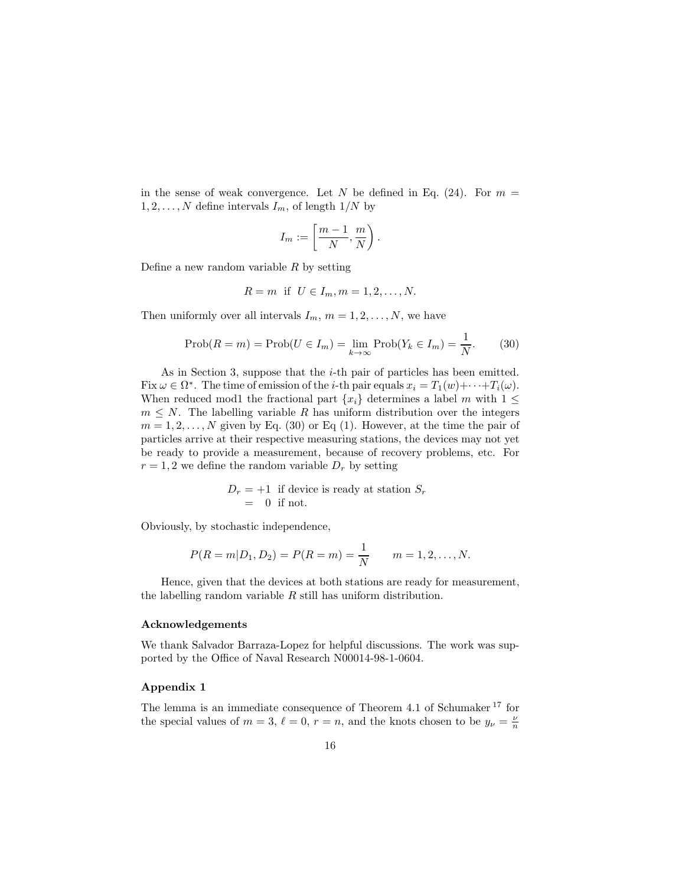in the sense of weak convergence. Let N be defined in Eq.  $(24)$ . For  $m =$  $1, 2, \ldots, N$  define intervals  $I_m$ , of length  $1/N$  by

$$
I_m:=\left[\frac{m-1}{N},\frac{m}{N}\right).
$$

Define a new random variable  $R$  by setting

$$
R = m
$$
 if  $U \in I_m, m = 1, 2, ..., N$ .

Then uniformly over all intervals  $I_m$ ,  $m = 1, 2, ..., N$ , we have

$$
\text{Prob}(R = m) = \text{Prob}(U \in I_m) = \lim_{k \to \infty} \text{Prob}(Y_k \in I_m) = \frac{1}{N}.
$$
 (30)

As in Section 3, suppose that the *i*-th pair of particles has been emitted. Fix  $\omega \in \Omega^*$ . The time of emission of the *i*-th pair equals  $x_i = T_1(w) + \cdots + T_i(\omega)$ . When reduced mod1 the fractional part  $\{x_i\}$  determines a label m with  $1 \leq$  $m \leq N$ . The labelling variable R has uniform distribution over the integers  $m = 1, 2, \ldots, N$  given by Eq. (30) or Eq. (1). However, at the time the pair of particles arrive at their respective measuring stations, the devices may not yet be ready to provide a measurement, because of recovery problems, etc. For  $r = 1, 2$  we define the random variable  $D<sub>r</sub>$  by setting

$$
D_r = +1
$$
 if device is ready at station  $S_r$   
= 0 if not.

Obviously, by stochastic independence,

$$
P(R = m|D_1, D_2) = P(R = m) = \frac{1}{N} \qquad m = 1, 2, ..., N.
$$

Hence, given that the devices at both stations are ready for measurement, the labelling random variable  $R$  still has uniform distribution.

#### Acknowledgements

We thank Salvador Barraza-Lopez for helpful discussions. The work was supported by the Office of Naval Research N00014-98-1-0604.

#### Appendix 1

The lemma is an immediate consequence of Theorem 4.1 of Schumaker <sup>17</sup> for the special values of  $m = 3$ ,  $\ell = 0$ ,  $r = n$ , and the knots chosen to be  $y_{\nu} = \frac{\nu}{n}$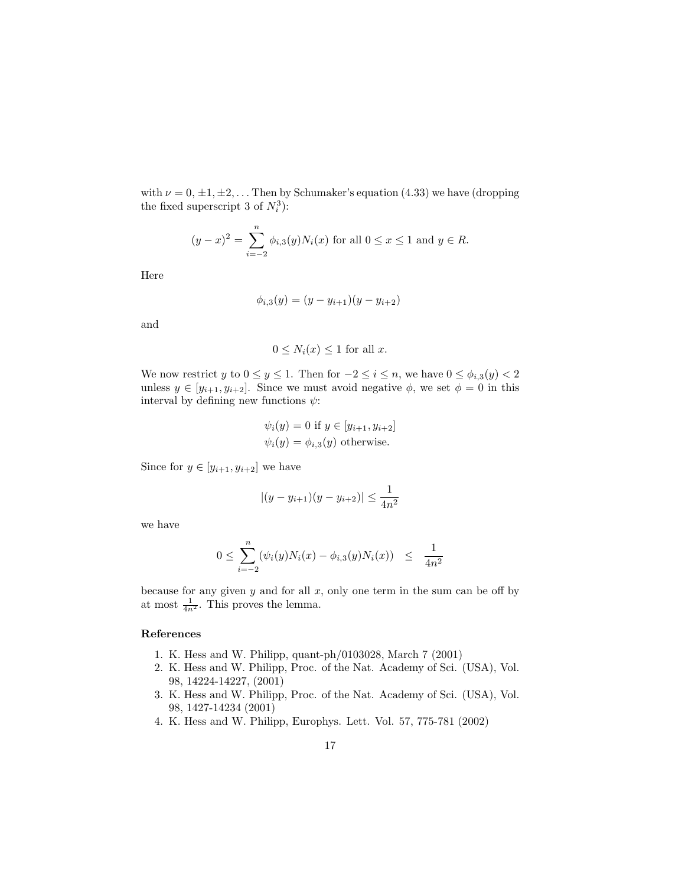with  $\nu = 0, \pm 1, \pm 2, \ldots$  Then by Schumaker's equation (4.33) we have (dropping the fixed superscript 3 of  $N_i^3$ ):

$$
(y-x)^2 = \sum_{i=-2}^{n} \phi_{i,3}(y) N_i(x)
$$
 for all  $0 \le x \le 1$  and  $y \in R$ .

Here

$$
\phi_{i,3}(y) = (y - y_{i+1})(y - y_{i+2})
$$

and

$$
0 \le N_i(x) \le 1
$$
 for all  $x$ .

We now restrict y to  $0 \le y \le 1$ . Then for  $-2 \le i \le n$ , we have  $0 \le \phi_{i,3}(y) < 2$ unless  $y \in [y_{i+1}, y_{i+2}]$ . Since we must avoid negative  $\phi$ , we set  $\phi = 0$  in this interval by defining new functions  $\psi$ :

$$
\psi_i(y) = 0 \text{ if } y \in [y_{i+1}, y_{i+2}]
$$
  

$$
\psi_i(y) = \phi_{i,3}(y) \text{ otherwise.}
$$

Since for  $y \in [y_{i+1}, y_{i+2}]$  we have

$$
|(y - y_{i+1})(y - y_{i+2})| \le \frac{1}{4n^2}
$$

we have

$$
0 \leq \sum_{i=-2}^{n} (\psi_i(y)N_i(x) - \phi_{i,3}(y)N_i(x)) \leq \frac{1}{4n^2}
$$

because for any given  $y$  and for all  $x$ , only one term in the sum can be off by at most  $\frac{1}{4n^2}$ . This proves the lemma.

## References

- 1. K. Hess and W. Philipp, quant-ph/0103028, March 7 (2001)
- 2. K. Hess and W. Philipp, Proc. of the Nat. Academy of Sci. (USA), Vol. 98, 14224-14227, (2001)
- 3. K. Hess and W. Philipp, Proc. of the Nat. Academy of Sci. (USA), Vol. 98, 1427-14234 (2001)
- 4. K. Hess and W. Philipp, Europhys. Lett. Vol. 57, 775-781 (2002)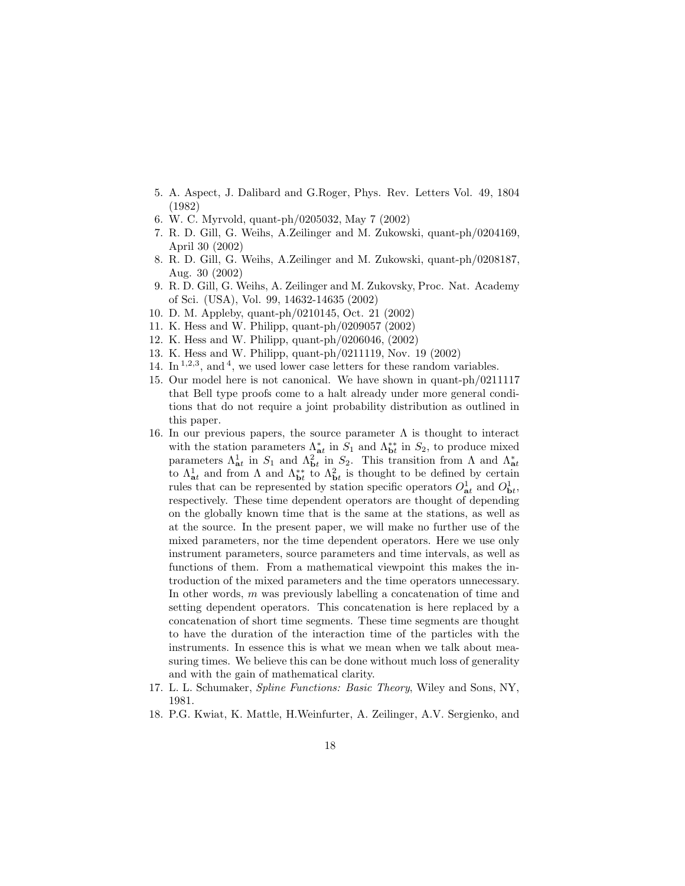- 5. A. Aspect, J. Dalibard and G.Roger, Phys. Rev. Letters Vol. 49, 1804 (1982)
- 6. W. C. Myrvold, quant-ph/0205032, May 7 (2002)
- 7. R. D. Gill, G. Weihs, A.Zeilinger and M. Zukowski, quant-ph/0204169, April 30 (2002)
- 8. R. D. Gill, G. Weihs, A.Zeilinger and M. Zukowski, quant-ph/0208187, Aug. 30 (2002)
- 9. R. D. Gill, G. Weihs, A. Zeilinger and M. Zukovsky, Proc. Nat. Academy of Sci. (USA), Vol. 99, 14632-14635 (2002)
- 10. D. M. Appleby, quant-ph/0210145, Oct. 21 (2002)
- 11. K. Hess and W. Philipp, quant-ph/0209057 (2002)
- 12. K. Hess and W. Philipp, quant-ph/0206046, (2002)
- 13. K. Hess and W. Philipp, quant-ph/0211119, Nov. 19 (2002)
- 14. In  $1,2,3}$ , and <sup>4</sup>, we used lower case letters for these random variables.
- 15. Our model here is not canonical. We have shown in quant-ph/0211117 that Bell type proofs come to a halt already under more general conditions that do not require a joint probability distribution as outlined in this paper.
- 16. In our previous papers, the source parameter  $\Lambda$  is thought to interact with the station parameters  $\Lambda_{at}^*$  in  $S_1$  and  $\Lambda_{bt}^{**}$  in  $S_2$ , to produce mixed parameters  $\Lambda_{at}^1$  in  $S_1$  and  $\Lambda_{bt}^2$  in  $S_2$ . This transition from  $\Lambda$  and  $\Lambda_{at}^*$ to  $\Lambda_{at}^1$  and from  $\Lambda$  and  $\Lambda_{bt}^{**}$  to  $\Lambda_{bt}^2$  is thought to be defined by certain rules that can be represented by station specific operators  $O_{\bf{a}t}^1$  and  $O_{\bf{b}t}^1$ , respectively. These time dependent operators are thought of depending on the globally known time that is the same at the stations, as well as at the source. In the present paper, we will make no further use of the mixed parameters, nor the time dependent operators. Here we use only instrument parameters, source parameters and time intervals, as well as functions of them. From a mathematical viewpoint this makes the introduction of the mixed parameters and the time operators unnecessary. In other words, m was previously labelling a concatenation of time and setting dependent operators. This concatenation is here replaced by a concatenation of short time segments. These time segments are thought to have the duration of the interaction time of the particles with the instruments. In essence this is what we mean when we talk about measuring times. We believe this can be done without much loss of generality and with the gain of mathematical clarity.
- 17. L. L. Schumaker, Spline Functions: Basic Theory, Wiley and Sons, NY, 1981.
- 18. P.G. Kwiat, K. Mattle, H.Weinfurter, A. Zeilinger, A.V. Sergienko, and